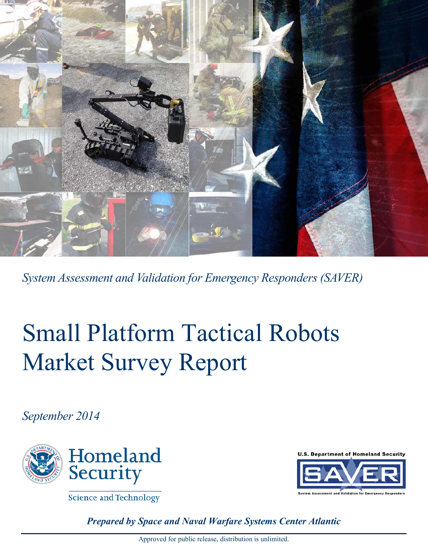

*System Assessment and Validation for Emergency Responders (SAVER)*

# Small Platform Tactical Robots Market Survey Report

*September 2014*



**Science and Technology** 

**U.S. Department of Homeland Security** 



*Prepared by Space and Naval Warfare Systems Center Atlantic*

Approved for public release, distribution is unlimited.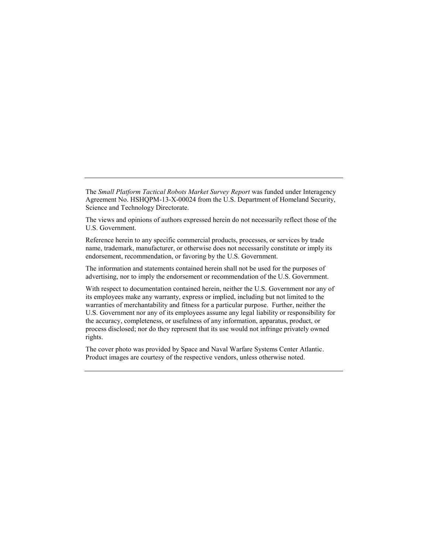The *Small Platform Tactical Robots Market Survey Report* was funded under Interagency Agreement No. HSHQPM-13-X-00024 from the U.S. Department of Homeland Security, Science and Technology Directorate.

The views and opinions of authors expressed herein do not necessarily reflect those of the U.S. Government.

Reference herein to any specific commercial products, processes, or services by trade name, trademark, manufacturer, or otherwise does not necessarily constitute or imply its endorsement, recommendation, or favoring by the U.S. Government.

The information and statements contained herein shall not be used for the purposes of advertising, nor to imply the endorsement or recommendation of the U.S. Government.

With respect to documentation contained herein, neither the U.S. Government nor any of its employees make any warranty, express or implied, including but not limited to the warranties of merchantability and fitness for a particular purpose. Further, neither the U.S. Government nor any of its employees assume any legal liability or responsibility for the accuracy, completeness, or usefulness of any information, apparatus, product, or process disclosed; nor do they represent that its use would not infringe privately owned rights.

The cover photo was provided by Space and Naval Warfare Systems Center Atlantic. Product images are courtesy of the respective vendors, unless otherwise noted.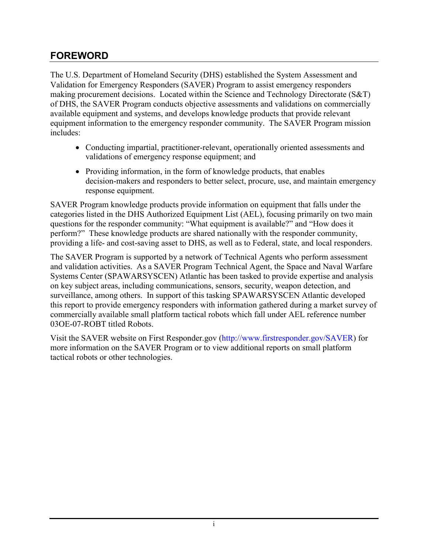#### <span id="page-2-0"></span>**FOREWORD**

The U.S. Department of Homeland Security (DHS) established the System Assessment and Validation for Emergency Responders (SAVER) Program to assist emergency responders making procurement decisions. Located within the Science and Technology Directorate (S&T) of DHS, the SAVER Program conducts objective assessments and validations on commercially available equipment and systems, and develops knowledge products that provide relevant equipment information to the emergency responder community. The SAVER Program mission includes:

- Conducting impartial, practitioner-relevant, operationally oriented assessments and validations of emergency response equipment; and
- Providing information, in the form of knowledge products, that enables decision-makers and responders to better select, procure, use, and maintain emergency response equipment.

SAVER Program knowledge products provide information on equipment that falls under the categories listed in the DHS Authorized Equipment List (AEL), focusing primarily on two main questions for the responder community: "What equipment is available?" and "How does it perform?" These knowledge products are shared nationally with the responder community, providing a life- and cost-saving asset to DHS, as well as to Federal, state, and local responders.

The SAVER Program is supported by a network of Technical Agents who perform assessment and validation activities. As a SAVER Program Technical Agent, the Space and Naval Warfare Systems Center (SPAWARSYSCEN) Atlantic has been tasked to provide expertise and analysis on key subject areas, including communications, sensors, security, weapon detection, and surveillance, among others. In support of this tasking SPAWARSYSCEN Atlantic developed this report to provide emergency responders with information gathered during a market survey of commercially available small platform tactical robots which fall under AEL reference number 03OE-07-ROBT titled Robots.

Visit the SAVER website on First Responder.gov [\(http://www.firstresponder.gov/SAVER\)](http://www.firstresponder.gov/SitePages/Technology/TechnologyRD.aspx?Subject=Saver) for more information on the SAVER Program or to view additional reports on small platform tactical robots or other technologies.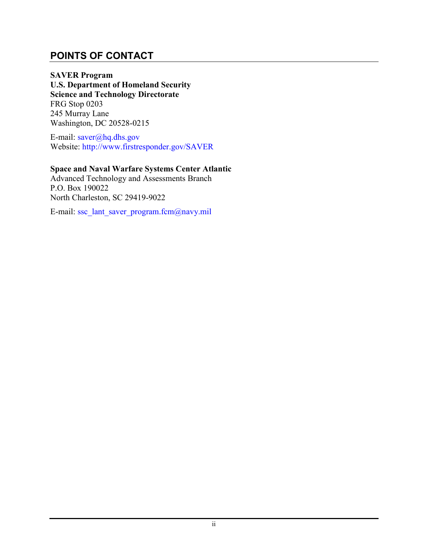#### <span id="page-3-0"></span>**POINTS OF CONTACT**

**SAVER Program U.S. Department of Homeland Security Science and Technology Directorate** FRG Stop 0203 245 Murray Lane Washington, DC 20528-0215

E-mail: [saver@hq.dhs.gov](mailto:saver@hq.dhs.gov) Website: [http://www.firstresponder.gov/SAVER](http://www.firstresponder.gov/SitePages/Technology/TechnologyRD.aspx?Subject=Saver)

#### **Space and Naval Warfare Systems Center Atlantic**

Advanced Technology and Assessments Branch P.O. Box 190022 North Charleston, SC 29419-9022

E-mail: [ssc\\_lant\\_saver\\_program.fcm@navy.mil](mailto:ssc_lant_saver_program.fcm@navy.mil)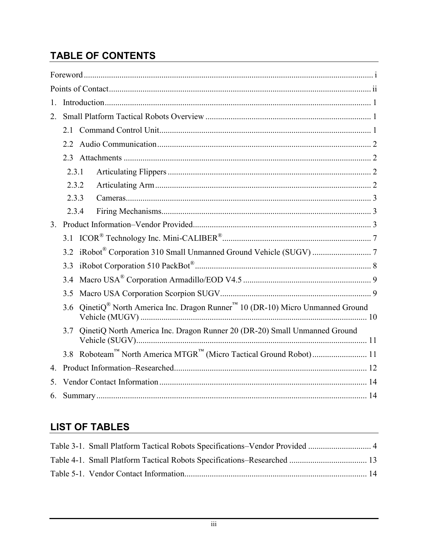# **TABLE OF CONTENTS**

| $1_{-}$          |                                                                                                |  |  |  |  |  |  |  |  |
|------------------|------------------------------------------------------------------------------------------------|--|--|--|--|--|--|--|--|
| 2 <sub>1</sub>   |                                                                                                |  |  |  |  |  |  |  |  |
|                  | 21                                                                                             |  |  |  |  |  |  |  |  |
|                  | 2.2                                                                                            |  |  |  |  |  |  |  |  |
|                  |                                                                                                |  |  |  |  |  |  |  |  |
|                  | 2.3.1                                                                                          |  |  |  |  |  |  |  |  |
|                  | 2.3.2                                                                                          |  |  |  |  |  |  |  |  |
|                  | 2.3.3                                                                                          |  |  |  |  |  |  |  |  |
|                  | 2.3.4                                                                                          |  |  |  |  |  |  |  |  |
| 3 <sub>1</sub>   |                                                                                                |  |  |  |  |  |  |  |  |
|                  |                                                                                                |  |  |  |  |  |  |  |  |
|                  |                                                                                                |  |  |  |  |  |  |  |  |
|                  | 3.3                                                                                            |  |  |  |  |  |  |  |  |
|                  | 3.4                                                                                            |  |  |  |  |  |  |  |  |
|                  | 3.5                                                                                            |  |  |  |  |  |  |  |  |
|                  | QinetiQ® North America Inc. Dragon Runner <sup>™</sup> 10 (DR-10) Micro Unmanned Ground<br>3.6 |  |  |  |  |  |  |  |  |
|                  | QinetiQ North America Inc. Dragon Runner 20 (DR-20) Small Unmanned Ground<br>3.7               |  |  |  |  |  |  |  |  |
|                  |                                                                                                |  |  |  |  |  |  |  |  |
| $\overline{4}$ . |                                                                                                |  |  |  |  |  |  |  |  |
| 5.               |                                                                                                |  |  |  |  |  |  |  |  |
| 6.               |                                                                                                |  |  |  |  |  |  |  |  |

## **LIST OF TABLES**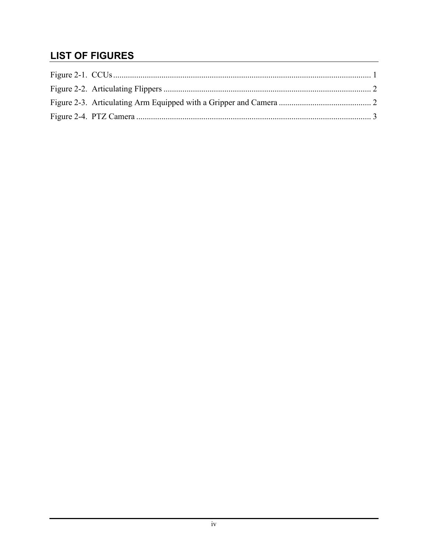## **LIST OF FIGURES**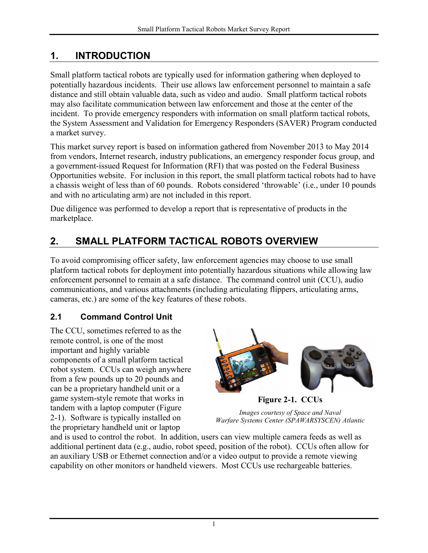## <span id="page-6-0"></span>**1. INTRODUCTION**

Small platform tactical robots are typically used for information gathering when deployed to potentially hazardous incidents. Their use allows law enforcement personnel to maintain a safe distance and still obtain valuable data, such as video and audio. Small platform tactical robots may also facilitate communication between law enforcement and those at the center of the incident. To provide emergency responders with information on small platform tactical robots, the System Assessment and Validation for Emergency Responders (SAVER) Program conducted a market survey.

This market survey report is based on information gathered from November 2013 to May 2014 from vendors, Internet research, industry publications, an emergency responder focus group, and a government-issued Request for Information (RFI) that was posted on the Federal Business Opportunities website. For inclusion in this report, the small platform tactical robots had to have a chassis weight of less than of 60 pounds. Robots considered 'throwable' (i.e., under 10 pounds and with no articulating arm) are not included in this report.

Due diligence was performed to develop a report that is representative of products in the marketplace.

# <span id="page-6-1"></span>**2. SMALL PLATFORM TACTICAL ROBOTS OVERVIEW**

To avoid compromising officer safety, law enforcement agencies may choose to use small platform tactical robots for deployment into potentially hazardous situations while allowing law enforcement personnel to remain at a safe distance. The command control unit (CCU), audio communications, and various attachments (including articulating flippers, articulating arms, cameras, etc.) are some of the key features of these robots.

#### <span id="page-6-2"></span>**2.1 Command Control Unit**

The CCU, sometimes referred to as the remote control, is one of the most important and highly variable components of a small platform tactical robot system. CCUs can weigh anywhere from a few pounds up to 20 pounds and can be a proprietary handheld unit or a game system-style remote that works in tandem with a laptop computer [\(Figure](#page-6-3)  [2-1\)](#page-6-3). Software is typically installed on the proprietary handheld unit or laptop



**Figure 2-1. CCUs**

<span id="page-6-3"></span>*Images courtesy of Space and Naval Warfare Systems Center (SPAWARSYSCEN) Atlantic*

and is used to control the robot. In addition, users can view multiple camera feeds as well as additional pertinent data (e.g., audio, robot speed, position of the robot). CCUs often allow for an auxiliary USB or Ethernet connection and/or a video output to provide a remote viewing capability on other monitors or handheld viewers. Most CCUs use rechargeable batteries.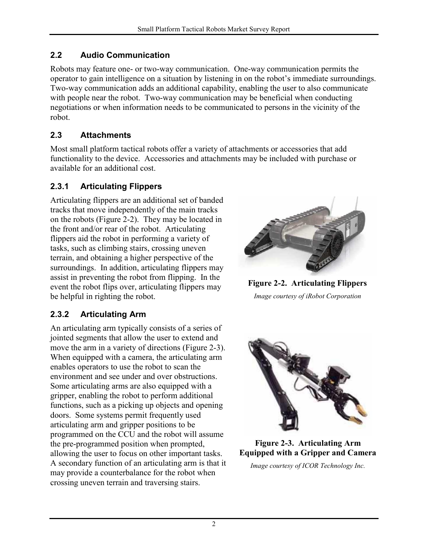#### <span id="page-7-0"></span>**2.2 Audio Communication**

Robots may feature one- or two-way communication. One-way communication permits the operator to gain intelligence on a situation by listening in on the robot's immediate surroundings. Two-way communication adds an additional capability, enabling the user to also communicate with people near the robot. Two-way communication may be beneficial when conducting negotiations or when information needs to be communicated to persons in the vicinity of the robot.

#### <span id="page-7-1"></span>**2.3 Attachments**

Most small platform tactical robots offer a variety of attachments or accessories that add functionality to the device. Accessories and attachments may be included with purchase or available for an additional cost.

#### <span id="page-7-2"></span>**2.3.1 Articulating Flippers**

Articulating flippers are an additional set of banded tracks that move independently of the main tracks on the robots [\(Figure 2-2\)](#page-7-4). They may be located in the front and/or rear of the robot. Articulating flippers aid the robot in performing a variety of tasks, such as climbing stairs, crossing uneven terrain, and obtaining a higher perspective of the surroundings. In addition, articulating flippers may assist in preventing the robot from flipping. In the event the robot flips over, articulating flippers may be helpful in righting the robot.

#### <span id="page-7-3"></span>**2.3.2 Articulating Arm**

An articulating arm typically consists of a series of jointed segments that allow the user to extend and move the arm in a variety of directions [\(Figure 2-3\)](#page-7-5). When equipped with a camera, the articulating arm enables operators to use the robot to scan the environment and see under and over obstructions. Some articulating arms are also equipped with a gripper, enabling the robot to perform additional functions, such as a picking up objects and opening doors. Some systems permit frequently used articulating arm and gripper positions to be programmed on the CCU and the robot will assume the pre-programmed position when prompted, allowing the user to focus on other important tasks. A secondary function of an articulating arm is that it may provide a counterbalance for the robot when crossing uneven terrain and traversing stairs.



**Figure 2-2. Articulating Flippers** *Image courtesy of iRobot Corporation*

<span id="page-7-4"></span>

**Figure 2-3. Articulating Arm Equipped with a Gripper and Camera**

<span id="page-7-5"></span>*Image courtesy of ICOR Technology Inc.*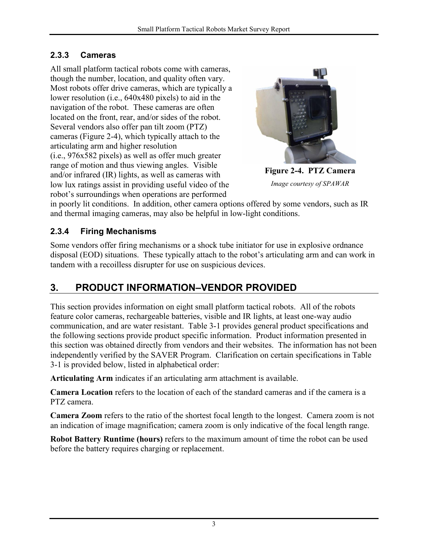#### <span id="page-8-0"></span>**2.3.3 Cameras**

All small platform tactical robots come with cameras, though the number, location, and quality often vary. Most robots offer drive cameras, which are typically a lower resolution (i.e., 640x480 pixels) to aid in the navigation of the robot. These cameras are often located on the front, rear, and/or sides of the robot. Several vendors also offer pan tilt zoom (PTZ) cameras [\(Figure 2-4\)](#page-8-3), which typically attach to the articulating arm and higher resolution (i.e., 976x582 pixels) as well as offer much greater range of motion and thus viewing angles. Visible and/or infrared (IR) lights, as well as cameras with low lux ratings assist in providing useful video of the robot's surroundings when operations are performed

<span id="page-8-3"></span>

**Figure 2-4. PTZ Camera** *Image courtesy of SPAWAR*

in poorly lit conditions. In addition, other camera options offered by some vendors, such as IR and thermal imaging cameras, may also be helpful in low-light conditions.

#### <span id="page-8-1"></span>**2.3.4 Firing Mechanisms**

Some vendors offer firing mechanisms or a shock tube initiator for use in explosive ordnance disposal (EOD) situations. These typically attach to the robot's articulating arm and can work in tandem with a recoilless disrupter for use on suspicious devices.

# <span id="page-8-2"></span>**3. PRODUCT INFORMATION–VENDOR PROVIDED**

This section provides information on eight small platform tactical robots. All of the robots feature color cameras, rechargeable batteries, visible and IR lights, at least one-way audio communication, and are water resistant. [Table 3-1](#page-9-0) provides general product specifications and the following sections provide product specific information. Product information presented in this section was obtained directly from vendors and their websites. The information has not been independently verified by the SAVER Program. Clarification on certain specifications in [Table](#page-9-0)  [3-1](#page-9-0) is provided below, listed in alphabetical order:

**Articulating Arm** indicates if an articulating arm attachment is available.

**Camera Location** refers to the location of each of the standard cameras and if the camera is a PTZ camera.

**Camera Zoom** refers to the ratio of the shortest focal length to the longest. Camera zoom is not an indication of image magnification; camera zoom is only indicative of the focal length range.

**Robot Battery Runtime (hours)** refers to the maximum amount of time the robot can be used before the battery requires charging or replacement.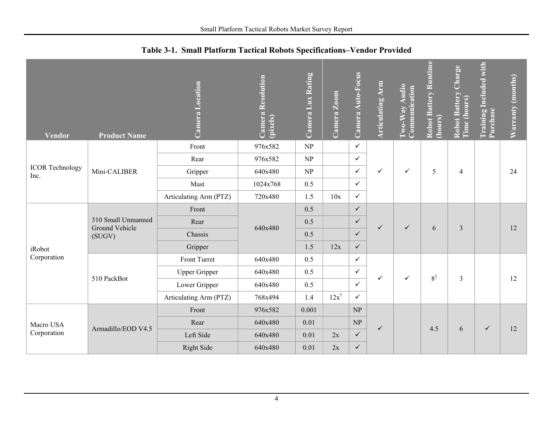<span id="page-9-0"></span>

| <b>Vendor</b>                  | <b>Product Name</b>                            | Camera Location        | <b>Camera Resolution</b><br>(pixels) | Camera Lux Rating | Camera Zoom     | Camera Auto-Focus | <b>Articulating Arm</b> | Two-Way Audio<br>Communication | <b>Robot Battery Runtime</b><br>(hours) | Charge<br><b>Robot Battery</b><br>Time (hours) | <b>Training Included with</b><br>Purchase | Warranty (months) |
|--------------------------------|------------------------------------------------|------------------------|--------------------------------------|-------------------|-----------------|-------------------|-------------------------|--------------------------------|-----------------------------------------|------------------------------------------------|-------------------------------------------|-------------------|
|                                |                                                | Front                  | 976x582                              | NP                |                 | $\checkmark$      |                         |                                |                                         |                                                |                                           |                   |
|                                |                                                | Rear                   | 976x582                              | NP                |                 | $\checkmark$      |                         | $\checkmark$                   | 5                                       | $\overline{\mathcal{A}}$                       |                                           |                   |
| <b>ICOR Technology</b><br>Inc. | Mini-CALIBER                                   | Gripper                | 640x480                              | NP                |                 | $\checkmark$      | $\checkmark$            |                                |                                         |                                                |                                           | 24                |
|                                |                                                | Mast                   | 1024x768                             | 0.5               |                 | $\checkmark$      |                         |                                |                                         |                                                |                                           |                   |
|                                |                                                | Articulating Arm (PTZ) | 720x480                              | 1.5               | 10x             | $\checkmark$      |                         |                                |                                         |                                                |                                           |                   |
|                                | 310 Small Unmanned<br>Ground Vehicle<br>(SUGV) | Front                  | 640x480                              | 0.5               |                 | $\checkmark$      | $\checkmark$            |                                | 6                                       | 3                                              |                                           |                   |
|                                |                                                | Rear                   |                                      | 0.5               |                 | $\checkmark$      |                         | $\checkmark$                   |                                         |                                                |                                           | 12                |
|                                |                                                | Chassis                |                                      | 0.5               |                 | $\checkmark$      |                         |                                |                                         |                                                |                                           |                   |
| iRobot                         |                                                | Gripper                |                                      | 1.5               | 12x             | $\checkmark$      |                         |                                |                                         |                                                |                                           |                   |
| Corporation                    |                                                | Front Turret           | 640x480                              | 0.5               |                 | $\checkmark$      |                         |                                |                                         |                                                |                                           |                   |
|                                | 510 PackBot                                    | <b>Upper Gripper</b>   | 640x480                              | 0.5               |                 | $\checkmark$      | ✓                       | ✓                              | $8^{\ddagger}$                          |                                                |                                           |                   |
|                                |                                                | Lower Gripper          | 640x480                              | 0.5               |                 | $\checkmark$      |                         |                                |                                         | 3                                              |                                           | 12                |
|                                |                                                | Articulating Arm (PTZ) | 768x494                              | 1.4               | $12x^{\dagger}$ | $\checkmark$      |                         |                                |                                         |                                                |                                           |                   |
|                                |                                                | Front                  | 976x582                              | 0.001             |                 | NP                |                         |                                |                                         |                                                |                                           |                   |
| Macro USA                      |                                                | Rear                   | 640x480                              | 0.01              |                 | NP                | ✓                       |                                |                                         |                                                |                                           |                   |
| Corporation                    | Armadillo/EOD V4.5                             | Left Side              | 640x480                              | 0.01              | 2x              | $\checkmark$      |                         |                                | 4.5                                     | 6                                              | $\checkmark$                              | 12                |
|                                |                                                | Right Side             | 640x480                              | 0.01              | 2x              | $\checkmark$      |                         |                                |                                         |                                                |                                           |                   |

**Table 3-1. Small Platform Tactical Robots Specifications–Vendor Provided**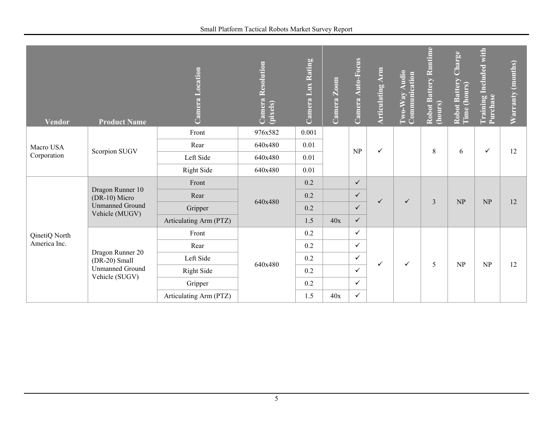| <b>Vendor</b> | <b>Product Name</b>                                                           | Location<br>Camera     | Camera Resolution<br>(pixels) | Camera Lux Rating | Camera Zoom | Camera Auto-Focus | <b>Articulating Arm</b> | Two-Way Audio<br>Communication | Robot Battery Runtime<br>(hours) | Robot Battery Charge<br>Time (hours) | <b>Training Included with</b><br>Purchase | Warranty (months) |
|---------------|-------------------------------------------------------------------------------|------------------------|-------------------------------|-------------------|-------------|-------------------|-------------------------|--------------------------------|----------------------------------|--------------------------------------|-------------------------------------------|-------------------|
|               |                                                                               | Front                  | 976x582                       | 0.001             |             |                   |                         |                                |                                  |                                      |                                           |                   |
| Macro USA     | Scorpion SUGV                                                                 | Rear                   | 640x480                       | 0.01              |             | NP                | ✓                       |                                | 8                                | 6                                    | $\checkmark$                              | 12                |
| Corporation   |                                                                               | Left Side              | 640x480                       | 0.01              |             |                   |                         |                                |                                  |                                      |                                           |                   |
|               |                                                                               | Right Side             | 640x480                       | 0.01              |             |                   |                         |                                |                                  |                                      |                                           |                   |
|               |                                                                               | Front                  |                               | 0.2               |             | $\checkmark$      |                         |                                |                                  |                                      |                                           |                   |
|               | Dragon Runner 10<br>(DR-10) Micro<br><b>Unmanned Ground</b><br>Vehicle (MUGV) | Rear                   |                               | 0.2               |             | $\checkmark$      | ✓                       | $\checkmark$                   | 3                                | NP                                   | NP                                        |                   |
|               |                                                                               | Gripper                | 640x480                       | 0.2               |             | $\checkmark$      |                         |                                |                                  |                                      |                                           | 12                |
|               |                                                                               | Articulating Arm (PTZ) |                               | 1.5               | 40x         | $\checkmark$      |                         |                                |                                  |                                      |                                           |                   |
| QinetiQ North |                                                                               | Front                  |                               | 0.2               |             | $\checkmark$      |                         |                                |                                  |                                      |                                           | 12                |
| America Inc.  |                                                                               | Rear                   |                               | 0.2               |             | $\checkmark$      |                         |                                |                                  |                                      |                                           |                   |
|               | Dragon Runner 20<br>(DR-20) Small                                             | Left Side              |                               | 0.2               |             | $\checkmark$      | ✓                       |                                |                                  | NP                                   |                                           |                   |
|               | <b>Unmanned Ground</b><br>Vehicle (SUGV)                                      | <b>Right Side</b>      | 640x480                       | 0.2               |             | $\checkmark$      |                         | $\checkmark$                   | 5                                |                                      | NP                                        |                   |
|               |                                                                               | Gripper                |                               | 0.2               |             | $\checkmark$      |                         |                                |                                  |                                      |                                           |                   |
|               |                                                                               | Articulating Arm (PTZ) |                               | 1.5               | 40x         | $\checkmark$      |                         |                                |                                  |                                      |                                           |                   |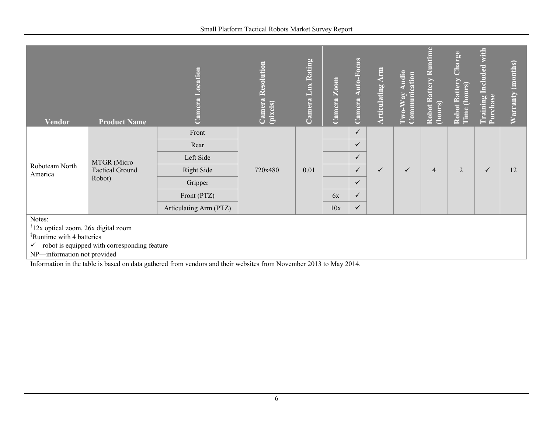| <b>Vendor</b>                                   | <b>Product Name</b>                                        | Location<br>Camera     | Camera Resolution<br>(pixels) | Camera Lux Rating | Camera Zoom | Camera Auto-Focus | <b>Articulating Arm</b> | Two-Way Audio<br>Communication | Robot Battery Runtime<br>(hours) | <b>Charge</b><br>Robot Battery<br>(hours)<br>Time | <b>Training Included with</b><br>Purchase | Warranty (months) |
|-------------------------------------------------|------------------------------------------------------------|------------------------|-------------------------------|-------------------|-------------|-------------------|-------------------------|--------------------------------|----------------------------------|---------------------------------------------------|-------------------------------------------|-------------------|
|                                                 |                                                            | Front                  |                               |                   |             | $\checkmark$      |                         |                                |                                  |                                                   |                                           |                   |
|                                                 | MTGR (Micro<br><b>Tactical Ground</b>                      | Rear                   | 720x480                       | 0.01              |             | $\checkmark$      | $\checkmark$            | $\checkmark$                   | $\overline{4}$                   | $\overline{2}$                                    | $\checkmark$                              | 12                |
|                                                 |                                                            | Left Side              |                               |                   |             | ✓                 |                         |                                |                                  |                                                   |                                           |                   |
| Roboteam North<br>America                       |                                                            | Right Side             |                               |                   |             | $\checkmark$      |                         |                                |                                  |                                                   |                                           |                   |
|                                                 | Robot)                                                     | Gripper                |                               |                   |             | $\checkmark$      |                         |                                |                                  |                                                   |                                           |                   |
|                                                 |                                                            | Front (PTZ)            |                               |                   | 6x          | $\checkmark$      |                         |                                |                                  |                                                   |                                           |                   |
|                                                 |                                                            | Articulating Arm (PTZ) |                               |                   | 10x         | $\checkmark$      |                         |                                |                                  |                                                   |                                           |                   |
| Notes:                                          |                                                            |                        |                               |                   |             |                   |                         |                                |                                  |                                                   |                                           |                   |
| <sup>†</sup> 12x optical zoom, 26x digital zoom |                                                            |                        |                               |                   |             |                   |                         |                                |                                  |                                                   |                                           |                   |
| <sup>‡</sup> Runtime with 4 batteries           |                                                            |                        |                               |                   |             |                   |                         |                                |                                  |                                                   |                                           |                   |
| NP-information not provided                     | $\checkmark$ —robot is equipped with corresponding feature |                        |                               |                   |             |                   |                         |                                |                                  |                                                   |                                           |                   |

Information in the table is based on data gathered from vendors and their websites from November 2013 to May 2014.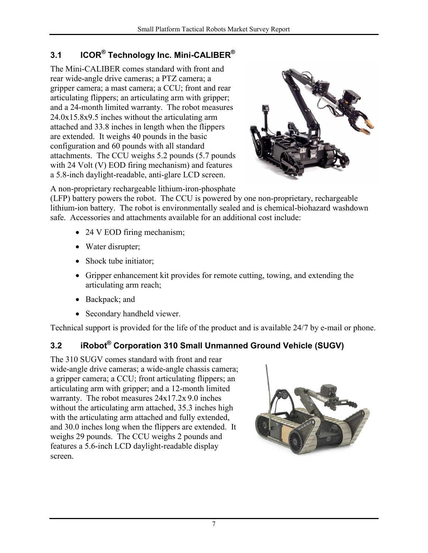### <span id="page-12-0"></span>**3.1 ICOR® Technology Inc. Mini-CALIBER®**

The Mini-CALIBER comes standard with front and rear wide-angle drive cameras; a PTZ camera; a gripper camera; a mast camera; a CCU; front and rear articulating flippers; an articulating arm with gripper; and a 24-month limited warranty. The robot measures 24.0x15.8x9.5 inches without the articulating arm attached and 33.8 inches in length when the flippers are extended. It weighs 40 pounds in the basic configuration and 60 pounds with all standard attachments. The CCU weighs 5.2 pounds (5.7 pounds with 24 Volt (V) EOD firing mechanism) and features a 5.8-inch daylight-readable, anti-glare LCD screen.



A non-proprietary rechargeable lithium-iron-phosphate

(LFP) battery powers the robot. The CCU is powered by one non-proprietary, rechargeable lithium-ion battery. The robot is environmentally sealed and is chemical-biohazard washdown safe. Accessories and attachments available for an additional cost include:

- 24 V EOD firing mechanism;
- Water disrupter;
- Shock tube initiator;
- Gripper enhancement kit provides for remote cutting, towing, and extending the articulating arm reach;
- Backpack; and
- Secondary handheld viewer.

Technical support is provided for the life of the product and is available 24/7 by e-mail or phone.

## <span id="page-12-1"></span>**3.2 iRobot® Corporation 310 Small Unmanned Ground Vehicle (SUGV)**

The 310 SUGV comes standard with front and rear wide-angle drive cameras; a wide-angle chassis camera; a gripper camera; a CCU; front articulating flippers; an articulating arm with gripper; and a 12-month limited warranty. The robot measures 24x17.2x 9.0 inches without the articulating arm attached, 35.3 inches high with the articulating arm attached and fully extended, and 30.0 inches long when the flippers are extended. It weighs 29 pounds. The CCU weighs 2 pounds and features a 5.6-inch LCD daylight-readable display screen.

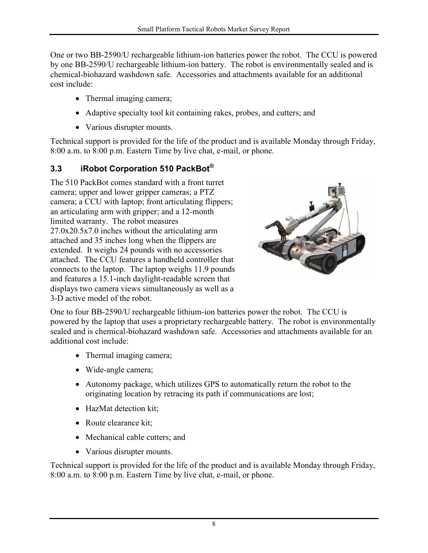One or two BB-2590/U rechargeable lithium-ion batteries power the robot. The CCU is powered by one BB-2590/U rechargeable lithium-ion battery. The robot is environmentally sealed and is chemical-biohazard washdown safe. Accessories and attachments available for an additional cost include:

- Thermal imaging camera;
- Adaptive specialty tool kit containing rakes, probes, and cutters; and
- Various disrupter mounts.

Technical support is provided for the life of the product and is available Monday through Friday, 8:00 a.m. to 8:00 p.m. Eastern Time by live chat, e-mail, or phone.

#### <span id="page-13-0"></span>**3.3 iRobot Corporation 510 PackBot®**

The 510 PackBot comes standard with a front turret camera; upper and lower gripper cameras; a PTZ camera; a CCU with laptop; front articulating flippers; an articulating arm with gripper; and a 12-month limited warranty. The robot measures 27.0x20.5x7.0 inches without the articulating arm attached and 35 inches long when the flippers are extended. It weighs 24 pounds with no accessories attached. The CCU features a handheld controller that connects to the laptop. The laptop weighs 11.9 pounds and features a 15.1-inch daylight-readable screen that displays two camera views simultaneously as well as a 3-D active model of the robot.



One to four BB-2590/U rechargeable lithium-ion batteries power the robot. The CCU is powered by the laptop that uses a proprietary rechargeable battery. The robot is environmentally sealed and is chemical-biohazard washdown safe. Accessories and attachments available for an additional cost include:

- Thermal imaging camera;
- Wide-angle camera;
- Autonomy package, which utilizes GPS to automatically return the robot to the originating location by retracing its path if communications are lost;
- HazMat detection kit;
- Route clearance kit;
- Mechanical cable cutters; and
- Various disrupter mounts.

Technical support is provided for the life of the product and is available Monday through Friday, 8:00 a.m. to 8:00 p.m. Eastern Time by live chat, e-mail, or phone.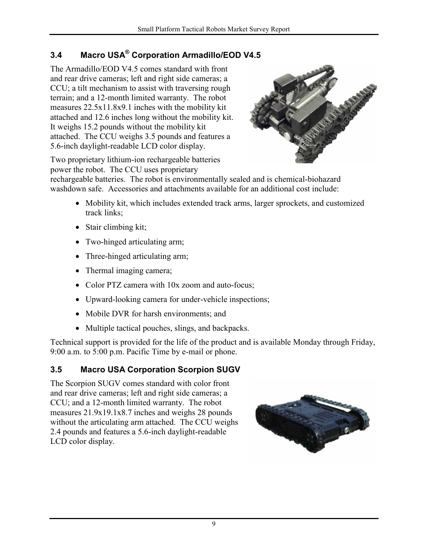## <span id="page-14-0"></span>**3.4 Macro USA® Corporation Armadillo/EOD V4.5**

The Armadillo/EOD V4.5 comes standard with front and rear drive cameras; left and right side cameras; a CCU; a tilt mechanism to assist with traversing rough terrain; and a 12-month limited warranty. The robot measures 22.5x11.8x9.1 inches with the mobility kit attached and 12.6 inches long without the mobility kit. It weighs 15.2 pounds without the mobility kit attached. The CCU weighs 3.5 pounds and features a 5.6-inch daylight-readable LCD color display.



Two proprietary lithium-ion rechargeable batteries power the robot. The CCU uses proprietary

rechargeable batteries. The robot is environmentally sealed and is chemical-biohazard washdown safe. Accessories and attachments available for an additional cost include:

- Mobility kit, which includes extended track arms, larger sprockets, and customized track links;
- Stair climbing kit;
- Two-hinged articulating arm;
- Three-hinged articulating arm;
- Thermal imaging camera;
- Color PTZ camera with 10x zoom and auto-focus;
- Upward-looking camera for under-vehicle inspections;
- Mobile DVR for harsh environments; and
- Multiple tactical pouches, slings, and backpacks.

Technical support is provided for the life of the product and is available Monday through Friday, 9:00 a.m. to 5:00 p.m. Pacific Time by e-mail or phone.

#### <span id="page-14-1"></span>**3.5 Macro USA Corporation Scorpion SUGV**

The Scorpion SUGV comes standard with color front and rear drive cameras; left and right side cameras; a CCU; and a 12-month limited warranty. The robot measures 21.9x19.1x8.7 inches and weighs 28 pounds without the articulating arm attached. The CCU weighs 2.4 pounds and features a 5.6-inch daylight-readable LCD color display.

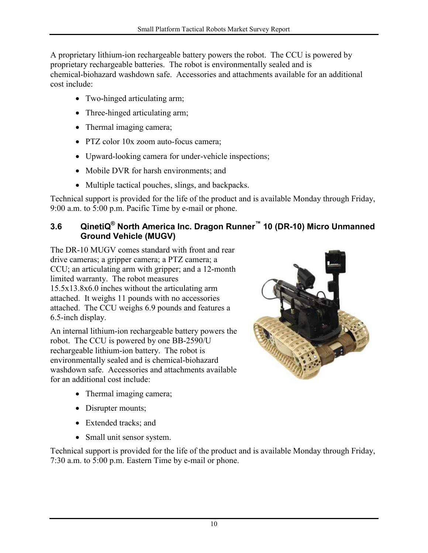A proprietary lithium-ion rechargeable battery powers the robot. The CCU is powered by proprietary rechargeable batteries. The robot is environmentally sealed and is chemical-biohazard washdown safe. Accessories and attachments available for an additional cost include:

- Two-hinged articulating arm;
- Three-hinged articulating arm;
- Thermal imaging camera;
- PTZ color 10x zoom auto-focus camera;
- Upward-looking camera for under-vehicle inspections;
- Mobile DVR for harsh environments; and
- Multiple tactical pouches, slings, and backpacks.

Technical support is provided for the life of the product and is available Monday through Friday, 9:00 a.m. to 5:00 p.m. Pacific Time by e-mail or phone.

#### <span id="page-15-0"></span>**3.6 QinetiQ® North America Inc. Dragon Runner™ 10 (DR-10) Micro Unmanned Ground Vehicle (MUGV)**

The DR-10 MUGV comes standard with front and rear drive cameras; a gripper camera; a PTZ camera; a CCU; an articulating arm with gripper; and a 12-month limited warranty. The robot measures 15.5x13.8x6.0 inches without the articulating arm attached. It weighs 11 pounds with no accessories attached. The CCU weighs 6.9 pounds and features a 6.5-inch display.

An internal lithium-ion rechargeable battery powers the robot. The CCU is powered by one BB-2590/U rechargeable lithium-ion battery. The robot is environmentally sealed and is chemical-biohazard washdown safe. Accessories and attachments available for an additional cost include:



- Thermal imaging camera;
- Disrupter mounts;
- Extended tracks; and
- Small unit sensor system.

Technical support is provided for the life of the product and is available Monday through Friday, 7:30 a.m. to 5:00 p.m. Eastern Time by e-mail or phone.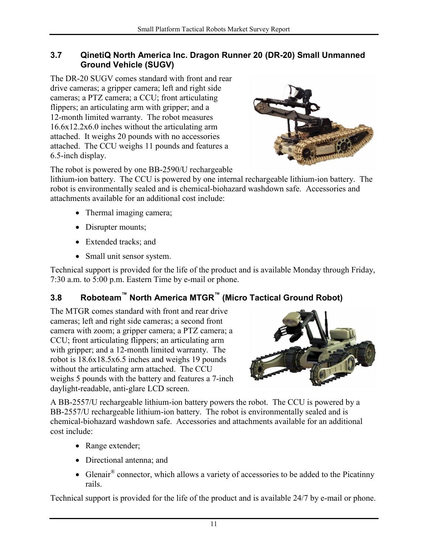#### <span id="page-16-0"></span>**3.7 QinetiQ North America Inc. Dragon Runner 20 (DR-20) Small Unmanned Ground Vehicle (SUGV)**

The DR-20 SUGV comes standard with front and rear drive cameras; a gripper camera; left and right side cameras; a PTZ camera; a CCU; front articulating flippers; an articulating arm with gripper; and a 12-month limited warranty. The robot measures 16.6x12.2x6.0 inches without the articulating arm attached. It weighs 20 pounds with no accessories attached. The CCU weighs 11 pounds and features a 6.5-inch display.



The robot is powered by one BB-2590/U rechargeable

lithium-ion battery. The CCU is powered by one internal rechargeable lithium-ion battery. The robot is environmentally sealed and is chemical-biohazard washdown safe. Accessories and attachments available for an additional cost include:

- Thermal imaging camera;
- Disrupter mounts;
- Extended tracks; and
- Small unit sensor system.

Technical support is provided for the life of the product and is available Monday through Friday, 7:30 a.m. to 5:00 p.m. Eastern Time by e-mail or phone.

## <span id="page-16-1"></span>**3.8 Roboteam™ North America MTGR™ (Micro Tactical Ground Robot)**

The MTGR comes standard with front and rear drive cameras; left and right side cameras; a second front camera with zoom; a gripper camera; a PTZ camera; a CCU; front articulating flippers; an articulating arm with gripper; and a 12-month limited warranty. The robot is 18.6x18.5x6.5 inches and weighs 19 pounds without the articulating arm attached. The CCU weighs 5 pounds with the battery and features a 7-inch daylight-readable, anti-glare LCD screen.



A BB-2557/U rechargeable lithium-ion battery powers the robot. The CCU is powered by a BB-2557/U rechargeable lithium-ion battery. The robot is environmentally sealed and is chemical-biohazard washdown safe. Accessories and attachments available for an additional cost include:

- Range extender;
- Directional antenna; and
- Glenair<sup>®</sup> connector, which allows a variety of accessories to be added to the Picatinny rails.

Technical support is provided for the life of the product and is available 24/7 by e-mail or phone.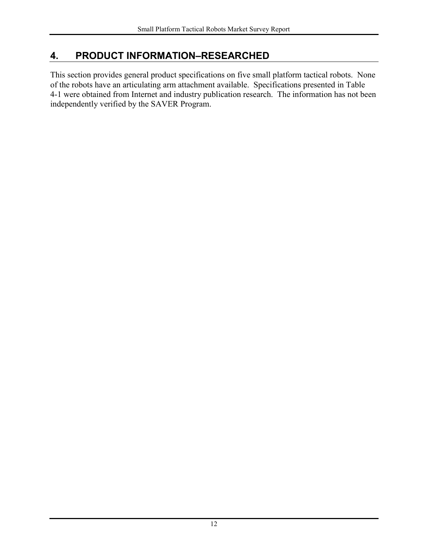### <span id="page-17-0"></span>**4. PRODUCT INFORMATION–RESEARCHED**

This section provides general product specifications on five small platform tactical robots. None of the robots have an articulating arm attachment available. Specifications presented in [Table](#page-18-0)  [4-1](#page-18-0) were obtained from Internet and industry publication research. The information has not been independently verified by the SAVER Program.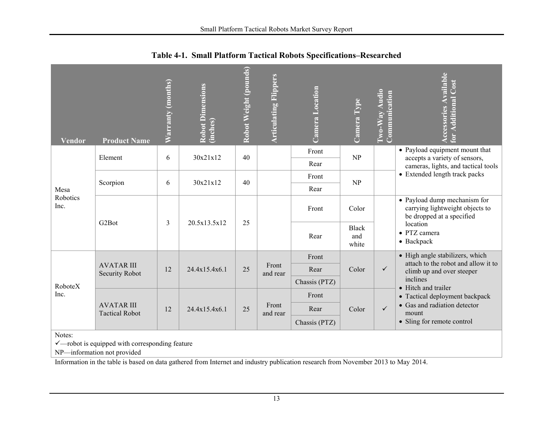<span id="page-18-0"></span>

| <b>Vendor</b>            | <b>Product Name</b>                                        | Warranty (months) | <b>Robot Dimensions</b><br>(inches) | Robot Weight (pounds) | <b>Articulating Flippers</b> | Camera Location | Camera Type                  | Two-Way Audio<br>Communication | <b>Accessories Available</b><br><b>Additional Cost</b><br>for                                |  |
|--------------------------|------------------------------------------------------------|-------------------|-------------------------------------|-----------------------|------------------------------|-----------------|------------------------------|--------------------------------|----------------------------------------------------------------------------------------------|--|
|                          | Element                                                    | 6                 | 30x21x12                            | 40                    |                              | Front           | NP                           |                                | • Payload equipment mount that<br>accepts a variety of sensors,                              |  |
|                          |                                                            |                   |                                     |                       |                              | Rear            |                              |                                | cameras, lights, and tactical tools                                                          |  |
| Mesa<br>Robotics<br>Inc. | Scorpion                                                   | 6                 | 30x21x12                            | 40                    |                              | Front           | NP                           |                                | • Extended length track packs                                                                |  |
|                          |                                                            |                   |                                     |                       |                              | Rear            |                              |                                |                                                                                              |  |
|                          | G <sub>2</sub> Bot                                         |                   |                                     |                       |                              | Front           | Color                        |                                | • Payload dump mechanism for<br>carrying lightweight objects to<br>be dropped at a specified |  |
|                          |                                                            | 3                 | 20.5x13.5x12                        | 25                    |                              | Rear            | <b>Black</b><br>and<br>white |                                | location<br>• PTZ camera<br>$\bullet$ Backpack                                               |  |
|                          |                                                            |                   |                                     |                       |                              | Front           |                              |                                | • High angle stabilizers, which<br>attach to the robot and allow it to                       |  |
|                          | <b>AVATAR III</b><br><b>Security Robot</b>                 | 12                | 24.4x15.4x6.1                       | 25                    | Front<br>and rear            | Rear            | Color                        | $\checkmark$                   | climb up and over steeper                                                                    |  |
| RoboteX                  |                                                            |                   |                                     |                       |                              | Chassis (PTZ)   |                              |                                | inclines<br>• Hitch and trailer                                                              |  |
| Inc.                     |                                                            |                   |                                     |                       |                              | Front           |                              |                                | • Tactical deployment backpack                                                               |  |
|                          | <b>AVATAR III</b><br><b>Tactical Robot</b>                 | 12                | 24.4x15.4x6.1                       | 25                    | Front<br>and rear            | Rear            | Color                        | $\checkmark$                   | • Gas and radiation detector<br>mount                                                        |  |
|                          |                                                            |                   |                                     |                       |                              | Chassis (PTZ)   |                              |                                | • Sling for remote control                                                                   |  |
| Notes:                   | $\checkmark$ —robot is equipped with corresponding feature |                   |                                     |                       |                              |                 |                              |                                |                                                                                              |  |

**Table 4-1. Small Platform Tactical Robots Specifications–Researched** 

NP—information not provided

Information in the table is based on data gathered from Internet and industry publication research from November 2013 to May 2014.